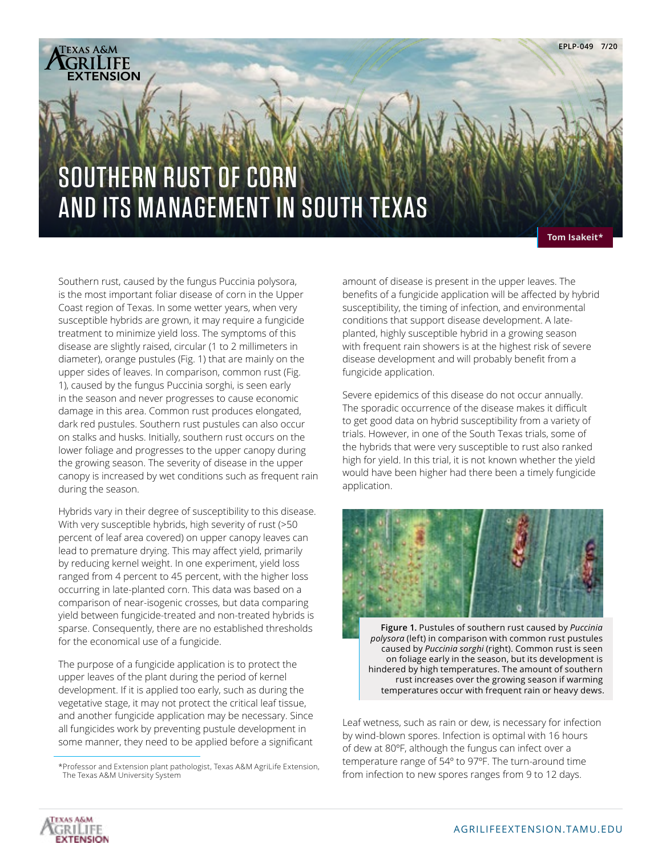

**Tom Isakeit\*** 

Southern rust, caused by the fungus Puccinia polysora, is the most important foliar disease of corn in the Upper Coast region of Texas. In some wetter years, when very susceptible hybrids are grown, it may require a fungicide treatment to minimize yield loss. The symptoms of this disease are slightly raised, circular (1 to 2 millimeters in diameter), orange pustules (Fig. 1) that are mainly on the upper sides of leaves. In comparison, common rust (Fig. 1), caused by the fungus Puccinia sorghi, is seen early in the season and never progresses to cause economic damage in this area. Common rust produces elongated, dark red pustules. Southern rust pustules can also occur on stalks and husks. Initially, southern rust occurs on the lower foliage and progresses to the upper canopy during the growing season. The severity of disease in the upper canopy is increased by wet conditions such as frequent rain during the season.

Hybrids vary in their degree of susceptibility to this disease. With very susceptible hybrids, high severity of rust (>50 percent of leaf area covered) on upper canopy leaves can lead to premature drying. This may affect yield, primarily by reducing kernel weight. In one experiment, yield loss ranged from 4 percent to 45 percent, with the higher loss occurring in late-planted corn. This data was based on a comparison of near-isogenic crosses, but data comparing yield between fungicide-treated and non-treated hybrids is sparse. Consequently, there are no established thresholds for the economical use of a fungicide.

The purpose of a fungicide application is to protect the upper leaves of the plant during the period of kernel development. If it is applied too early, such as during the vegetative stage, it may not protect the critical leaf tissue, and another fungicide application may be necessary. Since all fungicides work by preventing pustule development in some manner, they need to be applied before a significant

amount of disease is present in the upper leaves. The benefits of a fungicide application will be affected by hybrid susceptibility, the timing of infection, and environmental conditions that support disease development. A lateplanted, highly susceptible hybrid in a growing season with frequent rain showers is at the highest risk of severe disease development and will probably benefit from a fungicide application.

Severe epidemics of this disease do not occur annually. The sporadic occurrence of the disease makes it difficult to get good data on hybrid susceptibility from a variety of trials. However, in one of the South Texas trials, some of the hybrids that were very susceptible to rust also ranked high for yield. In this trial, it is not known whether the yield would have been higher had there been a timely fungicide application.



**Figure 1.** Pustules of southern rust caused by *Puccinia polysora* (left) in comparison with common rust pustules caused by *Puccinia sorghi* (right). Common rust is seen on foliage early in the season, but its development is hindered by high temperatures. The amount of southern rust increases over the growing season if warming temperatures occur with frequent rain or heavy dews.

Leaf wetness, such as rain or dew, is necessary for infection by wind-blown spores. Infection is optimal with 16 hours of dew at 80ºF, although the fungus can infect over a temperature range of 54º to 97ºF. The turn-around time from infection to new spores ranges from 9 to 12 days.



<sup>\*</sup>Professor and Extension plant pathologist, Texas A&M AgriLife Extension, The Texas A&M University System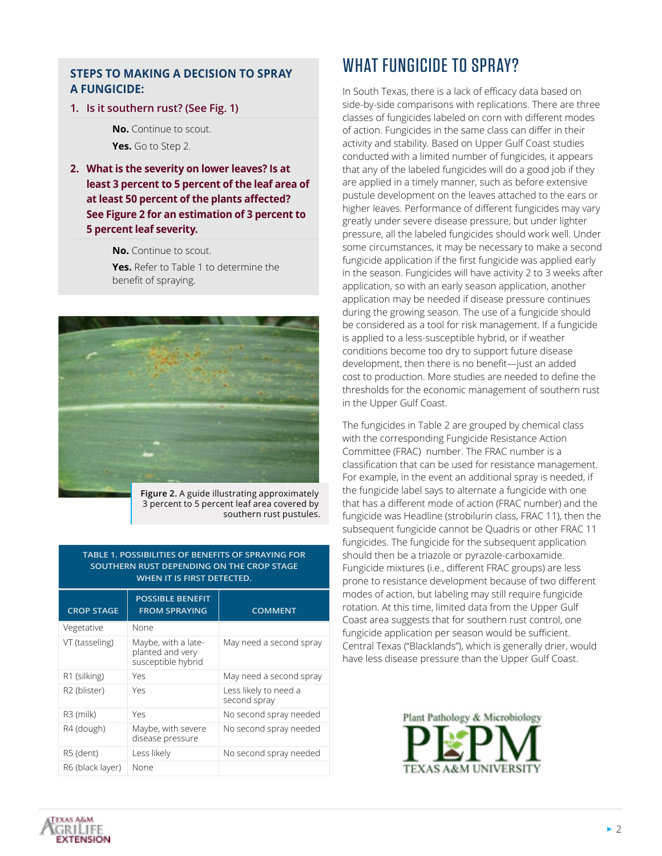## **STEPS TO MAKING A DECISION TO SPRAY A FUNGICIDE:**

## **1. Is it southern rust? (See Fig. 1)**

 **No.** Continue to scout. **Yes.** Go to Step 2.

**2. What is the severity on lower leaves? Is at least 3 percent to 5 percent of the leaf area of at least 50 percent of the plants affected? See Figure 2 for an estimation of 3 percent to 5 percent leaf severity.**

**No.** Continue to scout.

 **Yes.** Refer to Table 1 to determine the benefit of spraying.



**Figure 2.** A guide illustrating approximately 3 percent to 5 percent leaf area covered by southern rust pustules.

## **TABLE 1. POSSIBILITIES OF BENEFITS OF SPRAYING FOR SOUTHERN RUST DEPENDING ON THE CROP STAGE WHEN IT IS FIRST DETECTED.**

| <b>CROP STAGE</b> | <b>POSSIBLE BENEFIT</b><br><b>FROM SPRAYING</b>               | <b>COMMENT</b>                        |
|-------------------|---------------------------------------------------------------|---------------------------------------|
| Vegetative        | None                                                          |                                       |
| VT (tasseling)    | Maybe, with a late-<br>planted and very<br>susceptible hybrid | May need a second spray               |
| R1 (silking)      | Yρς                                                           | May need a second spray               |
| R2 (blister)      | Yes                                                           | Less likely to need a<br>second spray |
| R3 (milk)         | Yes                                                           | No second spray needed                |
| R4 (dough)        | Maybe, with severe<br>disease pressure                        | No second spray needed                |
| R5 (dent)         | Less likely                                                   | No second spray needed                |
| R6 (black layer)  | None                                                          |                                       |

## WHAT FUNGICIDE TO SPRAY?

In South Texas, there is a lack of efficacy data based on side-by-side comparisons with replications. There are three classes of fungicides labeled on corn with different modes of action. Fungicides in the same class can differ in their activity and stability. Based on Upper Gulf Coast studies conducted with a limited number of fungicides, it appears that any of the labeled fungicides will do a good job if they are applied in a timely manner, such as before extensive pustule development on the leaves attached to the ears or higher leaves. Performance of different fungicides may vary greatly under severe disease pressure, but under lighter pressure, all the labeled fungicides should work well. Under some circumstances, it may be necessary to make a second fungicide application if the first fungicide was applied early in the season. Fungicides will have activity 2 to 3 weeks after application, so with an early season application, another application may be needed if disease pressure continues during the growing season. The use of a fungicide should be considered as a tool for risk management. If a fungicide is applied to a less-susceptible hybrid, or if weather conditions become too dry to support future disease development, then there is no benefit—just an added cost to production. More studies are needed to define the thresholds for the economic management of southern rust in the Upper Gulf Coast.

The fungicides in Table 2 are grouped by chemical class with the corresponding Fungicide Resistance Action Committee (FRAC) number. The FRAC number is a classification that can be used for resistance management. For example, in the event an additional spray is needed, if the fungicide label says to alternate a fungicide with one that has a different mode of action (FRAC number) and the fungicide was Headline (strobilurin class, FRAC 11), then the subsequent fungicide cannot be Quadris or other FRAC 11 fungicides. The fungicide for the subsequent application should then be a triazole or pyrazole-carboxamide. Fungicide mixtures (i.e., different FRAC groups) are less prone to resistance development because of two different modes of action, but labeling may still require fungicide rotation. At this time, limited data from the Upper Gulf Coast area suggests that for southern rust control, one fungicide application per season would be sufficient. Central Texas ("Blacklands"), which is generally drier, would have less disease pressure than the Upper Gulf Coast.